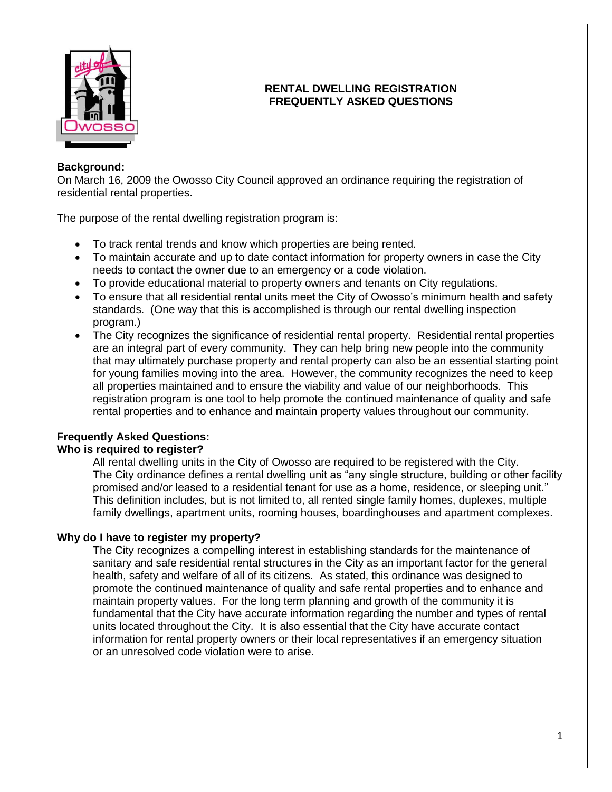

## **RENTAL DWELLING REGISTRATION FREQUENTLY ASKED QUESTIONS**

#### **Background:**

On March 16, 2009 the Owosso City Council approved an ordinance requiring the registration of residential rental properties.

The purpose of the rental dwelling registration program is:

- To track rental trends and know which properties are being rented.
- To maintain accurate and up to date contact information for property owners in case the City needs to contact the owner due to an emergency or a code violation.
- To provide educational material to property owners and tenants on City regulations.
- To ensure that all residential rental units meet the City of Owosso's minimum health and safety standards. (One way that this is accomplished is through our rental dwelling inspection program.)
- The City recognizes the significance of residential rental property. Residential rental properties are an integral part of every community. They can help bring new people into the community that may ultimately purchase property and rental property can also be an essential starting point for young families moving into the area. However, the community recognizes the need to keep all properties maintained and to ensure the viability and value of our neighborhoods. This registration program is one tool to help promote the continued maintenance of quality and safe rental properties and to enhance and maintain property values throughout our community.

# **Frequently Asked Questions:**

#### **Who is required to register?**

All rental dwelling units in the City of Owosso are required to be registered with the City. The City ordinance defines a rental dwelling unit as "any single structure, building or other facility promised and/or leased to a residential tenant for use as a home, residence, or sleeping unit." This definition includes, but is not limited to, all rented single family homes, duplexes, multiple family dwellings, apartment units, rooming houses, boardinghouses and apartment complexes.

#### **Why do I have to register my property?**

The City recognizes a compelling interest in establishing standards for the maintenance of sanitary and safe residential rental structures in the City as an important factor for the general health, safety and welfare of all of its citizens. As stated, this ordinance was designed to promote the continued maintenance of quality and safe rental properties and to enhance and maintain property values. For the long term planning and growth of the community it is fundamental that the City have accurate information regarding the number and types of rental units located throughout the City. It is also essential that the City have accurate contact information for rental property owners or their local representatives if an emergency situation or an unresolved code violation were to arise.